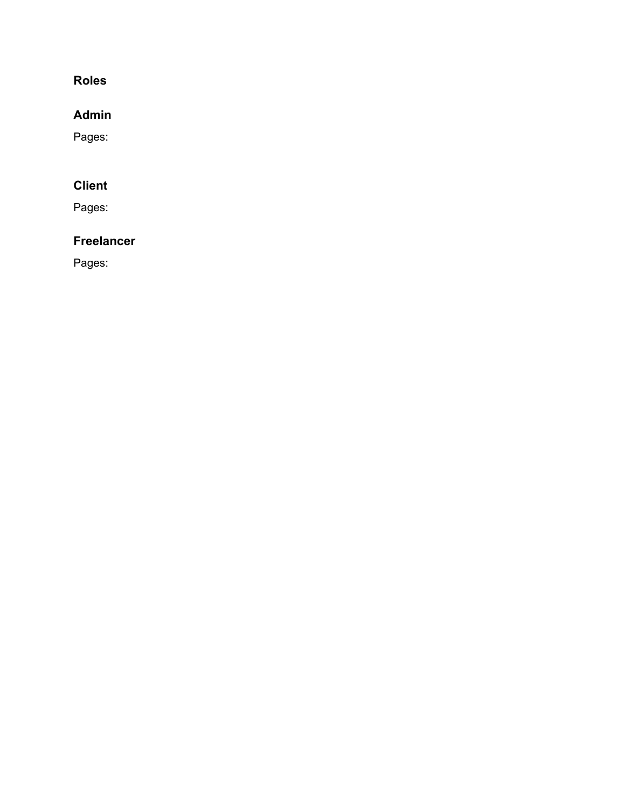#### **Roles**

# **Admin**

Pages:

# **Client**

Pages:

# **Freelancer**

Pages: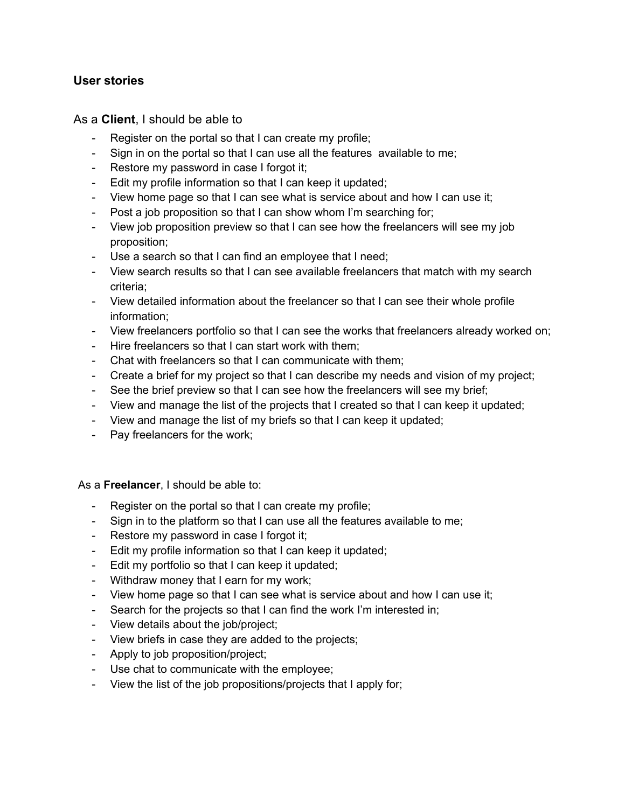#### **User stories**

As a **Client**, I should be able to

- Register on the portal so that I can create my profile;
- Sign in on the portal so that I can use all the features available to me;
- Restore my password in case I forgot it;
- Edit my profile information so that I can keep it updated;
- View home page so that I can see what is service about and how I can use it;
- Post a job proposition so that I can show whom I'm searching for;
- View job proposition preview so that I can see how the freelancers will see my job proposition;
- Use a search so that I can find an employee that I need;
- View search results so that I can see available freelancers that match with my search criteria;
- View detailed information about the freelancer so that I can see their whole profile information;
- View freelancers portfolio so that I can see the works that freelancers already worked on;
- Hire freelancers so that I can start work with them;
- Chat with freelancers so that I can communicate with them;
- Create a brief for my project so that I can describe my needs and vision of my project;
- See the brief preview so that I can see how the freelancers will see my brief;
- View and manage the list of the projects that I created so that I can keep it updated;
- View and manage the list of my briefs so that I can keep it updated;
- Pay freelancers for the work;

#### As a **Freelancer**, I should be able to:

- Register on the portal so that I can create my profile;
- Sign in to the platform so that I can use all the features available to me;
- Restore my password in case I forgot it;
- Edit my profile information so that I can keep it updated;
- Edit my portfolio so that I can keep it updated;
- Withdraw money that I earn for my work;
- View home page so that I can see what is service about and how I can use it;
- Search for the projects so that I can find the work I'm interested in;
- View details about the job/project;
- View briefs in case they are added to the projects;
- Apply to job proposition/project;
- Use chat to communicate with the employee;
- View the list of the job propositions/projects that I apply for;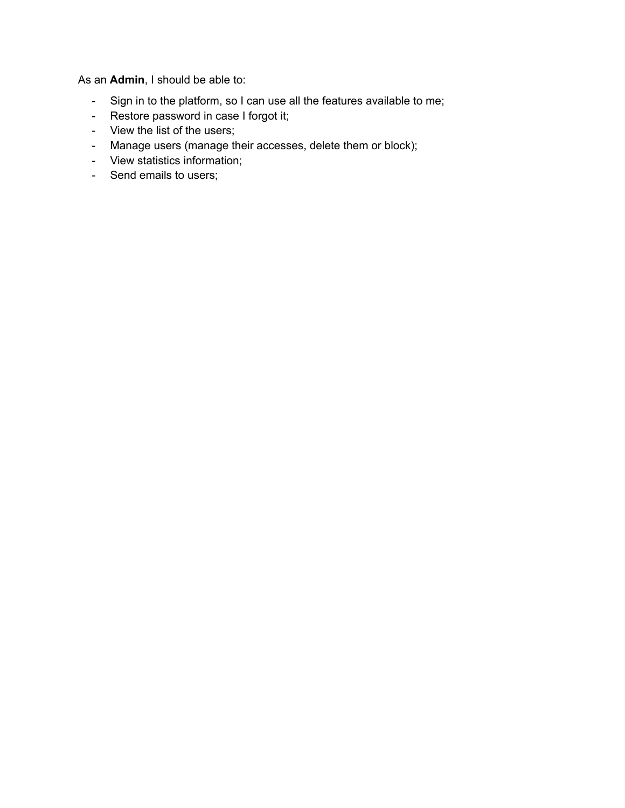As an **Admin**, I should be able to:

- Sign in to the platform, so I can use all the features available to me;
- Restore password in case I forgot it;
- View the list of the users;
- Manage users (manage their accesses, delete them or block);
- View statistics information;
- Send emails to users;